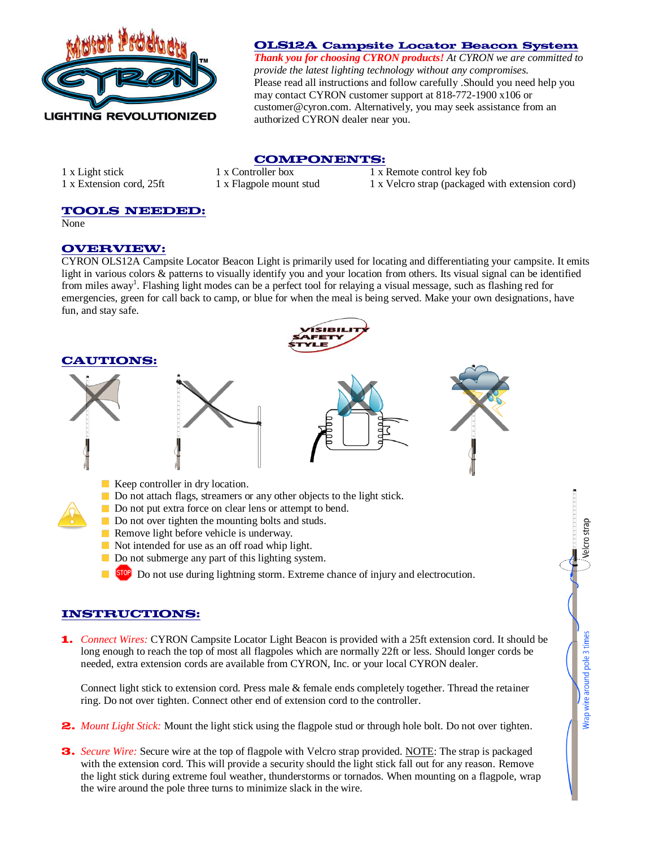

### **OLS12A Campsite Locator Beacon System**

*Thank you for choosing CYRON products! At CYRON we are committed to provide the latest lighting technology without any compromises.*  Please read all instructions and follow carefully .Should you need help you may contact CYRON customer support at 818-772-1900 x106 or [customer@cyron.com.](mailto:customer@cyron.com) Alternatively, you may seek assistance from an authorized CYRON dealer near you.

elcro stra

Wrap wire around pole 3 times

## **COMPONENTS:**

1 x Light stick 1 x Controller box 1 x Remote control key fob 1 x Extension cord, 25ft 1 x Flagpole mount stud 1 x Velcro strap (packaged with extension cord)

# **TOOLS NEEDED:**

None

#### **OVERVIEW:**

CYRON OLS12A Campsite Locator Beacon Light is primarily used for locating and differentiating your campsite. It emits light in various colors & patterns to visually identify you and your location from others. Its visual signal can be identified from miles away<sup>1</sup>. Flashing light modes can be a perfect tool for relaying a visual message, such as flashing red for emergencies, green for call back to camp, or blue for when the meal is being served. Make your own designations, have fun, and stay safe.



### **INSTRUCTIONS:**

**1.** *Connect Wires:* CYRON Campsite Locator Light Beacon is provided with a 25ft extension cord. It should be long enough to reach the top of most all flagpoles which are normally 22ft or less. Should longer cords be needed, extra extension cords are available from CYRON, Inc. or your local CYRON dealer.

Connect light stick to extension cord. Press male & female ends completely together. Thread the retainer ring. Do not over tighten. Connect other end of extension cord to the controller.

- **2.** *Mount Light Stick:* Mount the light stick using the flagpole stud or through hole bolt. Do not over tighten.
- **3.** *Secure Wire:* Secure wire at the top of flagpole with Velcro strap provided. NOTE: The strap is packaged with the extension cord. This will provide a security should the light stick fall out for any reason. Remove the light stick during extreme foul weather, thunderstorms or tornados. When mounting on a flagpole, wrap the wire around the pole three turns to minimize slack in the wire.